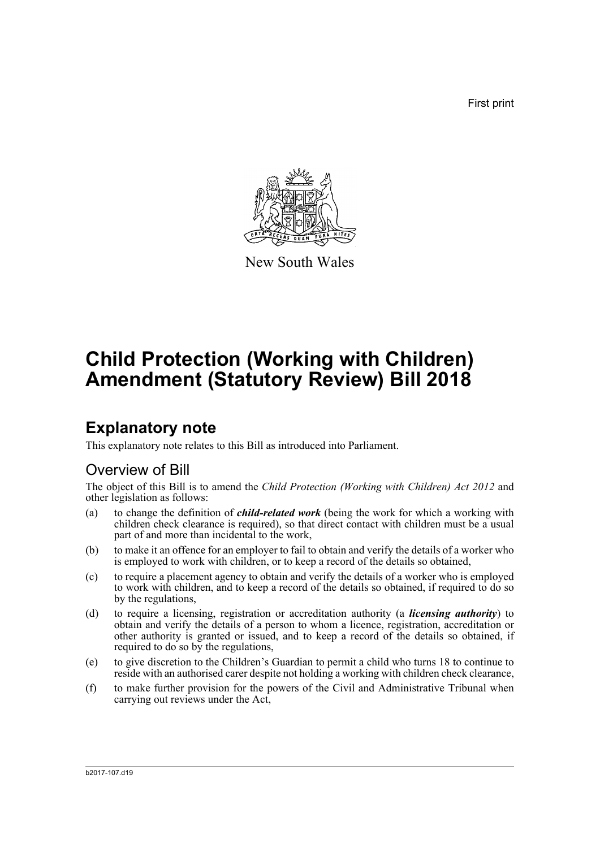First print



New South Wales

# **Child Protection (Working with Children) Amendment (Statutory Review) Bill 2018**

# **Explanatory note**

This explanatory note relates to this Bill as introduced into Parliament.

### Overview of Bill

The object of this Bill is to amend the *Child Protection (Working with Children) Act 2012* and other legislation as follows:

- (a) to change the definition of *child-related work* (being the work for which a working with children check clearance is required), so that direct contact with children must be a usual part of and more than incidental to the work,
- (b) to make it an offence for an employer to fail to obtain and verify the details of a worker who is employed to work with children, or to keep a record of the details so obtained,
- (c) to require a placement agency to obtain and verify the details of a worker who is employed to work with children, and to keep a record of the details so obtained, if required to do so by the regulations,
- (d) to require a licensing, registration or accreditation authority (a *licensing authority*) to obtain and verify the details of a person to whom a licence, registration, accreditation or other authority is granted or issued, and to keep a record of the details so obtained, if required to do so by the regulations,
- (e) to give discretion to the Children's Guardian to permit a child who turns 18 to continue to reside with an authorised carer despite not holding a working with children check clearance,
- (f) to make further provision for the powers of the Civil and Administrative Tribunal when carrying out reviews under the Act,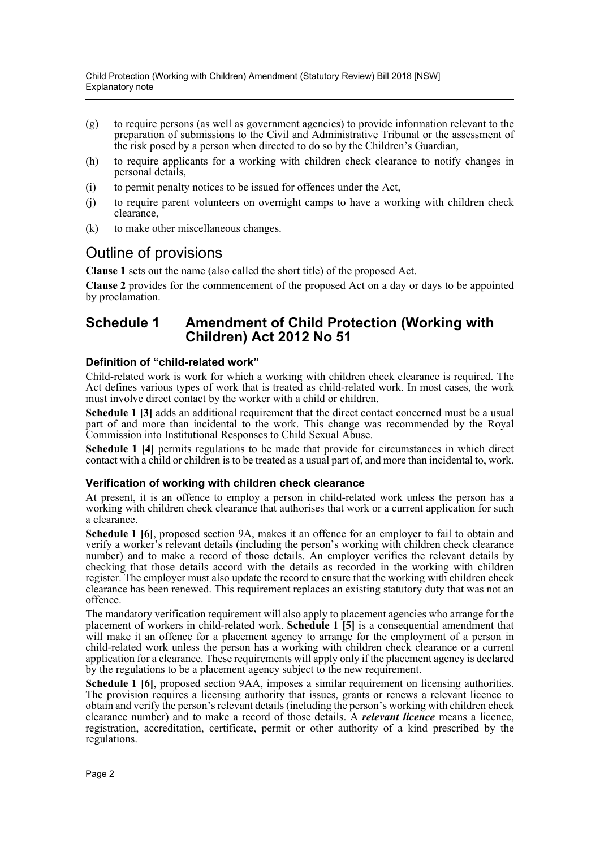- (g) to require persons (as well as government agencies) to provide information relevant to the preparation of submissions to the Civil and Administrative Tribunal or the assessment of the risk posed by a person when directed to do so by the Children's Guardian,
- (h) to require applicants for a working with children check clearance to notify changes in personal details,
- (i) to permit penalty notices to be issued for offences under the Act,
- (j) to require parent volunteers on overnight camps to have a working with children check clearance,
- (k) to make other miscellaneous changes.

### Outline of provisions

**Clause 1** sets out the name (also called the short title) of the proposed Act.

**Clause 2** provides for the commencement of the proposed Act on a day or days to be appointed by proclamation.

### **Schedule 1 Amendment of Child Protection (Working with Children) Act 2012 No 51**

#### **Definition of "child-related work"**

Child-related work is work for which a working with children check clearance is required. The Act defines various types of work that is treated as child-related work. In most cases, the work must involve direct contact by the worker with a child or children.

**Schedule 1 [3]** adds an additional requirement that the direct contact concerned must be a usual part of and more than incidental to the work. This change was recommended by the Royal Commission into Institutional Responses to Child Sexual Abuse.

**Schedule 1 [4]** permits regulations to be made that provide for circumstances in which direct contact with a child or children is to be treated as a usual part of, and more than incidental to, work.

#### **Verification of working with children check clearance**

At present, it is an offence to employ a person in child-related work unless the person has a working with children check clearance that authorises that work or a current application for such a clearance.

**Schedule 1 [6]**, proposed section 9A, makes it an offence for an employer to fail to obtain and verify a worker's relevant details (including the person's working with children check clearance number) and to make a record of those details. An employer verifies the relevant details by checking that those details accord with the details as recorded in the working with children register. The employer must also update the record to ensure that the working with children check clearance has been renewed. This requirement replaces an existing statutory duty that was not an offence.

The mandatory verification requirement will also apply to placement agencies who arrange for the placement of workers in child-related work. **Schedule 1 [5]** is a consequential amendment that will make it an offence for a placement agency to arrange for the employment of a person in child-related work unless the person has a working with children check clearance or a current application for a clearance. These requirements will apply only if the placement agency is declared by the regulations to be a placement agency subject to the new requirement.

**Schedule 1 [6]**, proposed section 9AA, imposes a similar requirement on licensing authorities. The provision requires a licensing authority that issues, grants or renews a relevant licence to obtain and verify the person's relevant details (including the person's working with children check clearance number) and to make a record of those details. A *relevant licence* means a licence, registration, accreditation, certificate, permit or other authority of a kind prescribed by the regulations.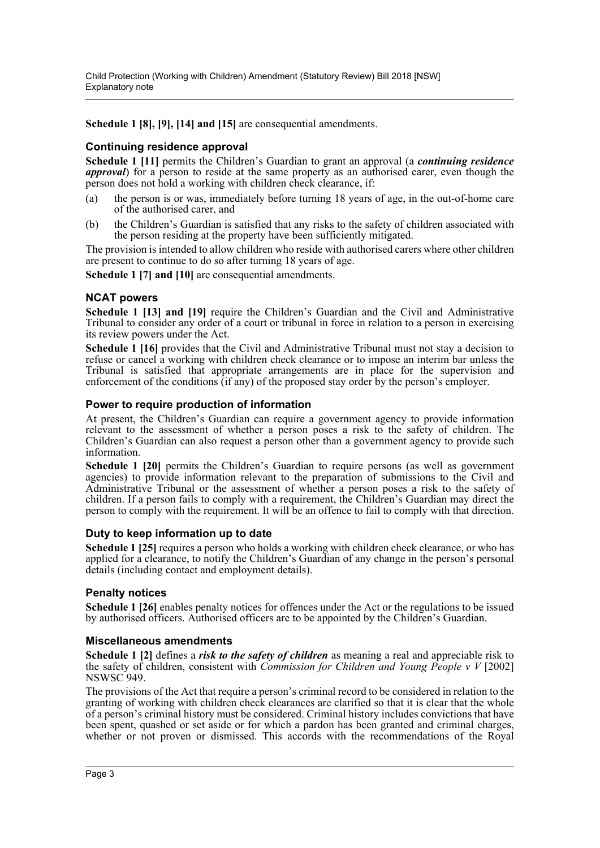**Schedule 1 [8], [9], [14] and [15]** are consequential amendments.

### **Continuing residence approval**

**Schedule 1 [11]** permits the Children's Guardian to grant an approval (a *continuing residence approval*) for a person to reside at the same property as an authorised carer, even though the person does not hold a working with children check clearance, if:

- (a) the person is or was, immediately before turning 18 years of age, in the out-of-home care of the authorised carer, and
- (b) the Children's Guardian is satisfied that any risks to the safety of children associated with the person residing at the property have been sufficiently mitigated.

The provision is intended to allow children who reside with authorised carers where other children are present to continue to do so after turning 18 years of age.

**Schedule 1 [7] and [10]** are consequential amendments.

#### **NCAT powers**

**Schedule 1 [13] and [19]** require the Children's Guardian and the Civil and Administrative Tribunal to consider any order of a court or tribunal in force in relation to a person in exercising its review powers under the Act.

**Schedule 1 [16]** provides that the Civil and Administrative Tribunal must not stay a decision to refuse or cancel a working with children check clearance or to impose an interim bar unless the Tribunal is satisfied that appropriate arrangements are in place for the supervision and enforcement of the conditions (if any) of the proposed stay order by the person's employer.

#### **Power to require production of information**

At present, the Children's Guardian can require a government agency to provide information relevant to the assessment of whether a person poses a risk to the safety of children. The Children's Guardian can also request a person other than a government agency to provide such information.

**Schedule 1 [20]** permits the Children's Guardian to require persons (as well as government agencies) to provide information relevant to the preparation of submissions to the Civil and Administrative Tribunal or the assessment of whether a person poses a risk to the safety of children. If a person fails to comply with a requirement, the Children's Guardian may direct the person to comply with the requirement. It will be an offence to fail to comply with that direction.

#### **Duty to keep information up to date**

**Schedule 1 [25]** requires a person who holds a working with children check clearance, or who has applied for a clearance, to notify the Children's Guardian of any change in the person's personal details (including contact and employment details).

#### **Penalty notices**

**Schedule 1 [26]** enables penalty notices for offences under the Act or the regulations to be issued by authorised officers. Authorised officers are to be appointed by the Children's Guardian.

#### **Miscellaneous amendments**

**Schedule 1 [2]** defines a *risk to the safety of children* as meaning a real and appreciable risk to the safety of children, consistent with *Commission for Children and Young People v V* [2002] NSWSC 949.

The provisions of the Act that require a person's criminal record to be considered in relation to the granting of working with children check clearances are clarified so that it is clear that the whole of a person's criminal history must be considered. Criminal history includes convictions that have been spent, quashed or set aside or for which a pardon has been granted and criminal charges, whether or not proven or dismissed. This accords with the recommendations of the Royal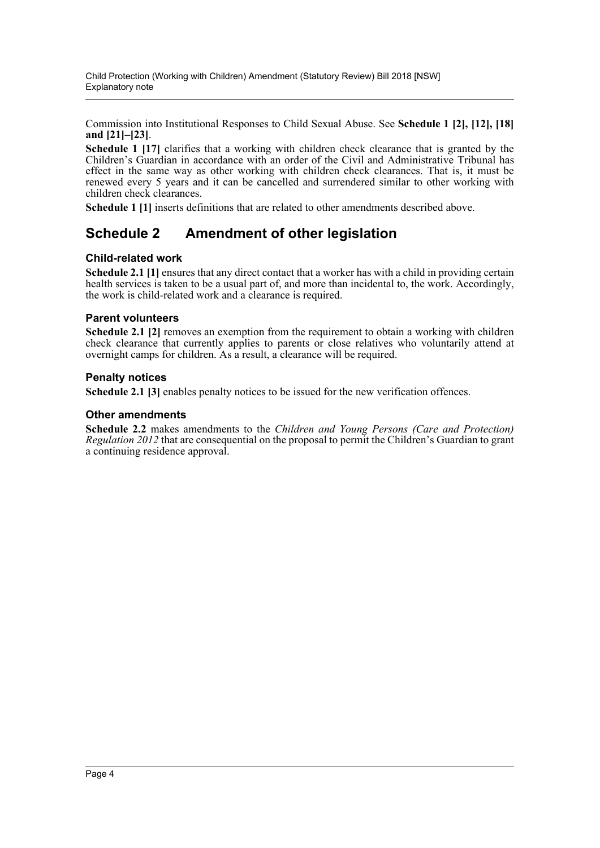Commission into Institutional Responses to Child Sexual Abuse. See **Schedule 1 [2], [12], [18] and [21]–[23]**.

**Schedule 1 [17]** clarifies that a working with children check clearance that is granted by the Children's Guardian in accordance with an order of the Civil and Administrative Tribunal has effect in the same way as other working with children check clearances. That is, it must be renewed every 5 years and it can be cancelled and surrendered similar to other working with children check clearances.

**Schedule 1 [1]** inserts definitions that are related to other amendments described above.

### **Schedule 2 Amendment of other legislation**

#### **Child-related work**

**Schedule 2.1 [1]** ensures that any direct contact that a worker has with a child in providing certain health services is taken to be a usual part of, and more than incidental to, the work. Accordingly, the work is child-related work and a clearance is required.

#### **Parent volunteers**

**Schedule 2.1 [2]** removes an exemption from the requirement to obtain a working with children check clearance that currently applies to parents or close relatives who voluntarily attend at overnight camps for children. As a result, a clearance will be required.

#### **Penalty notices**

**Schedule 2.1 [3]** enables penalty notices to be issued for the new verification offences.

#### **Other amendments**

**Schedule 2.2** makes amendments to the *Children and Young Persons (Care and Protection) Regulation 2012* that are consequential on the proposal to permit the Children's Guardian to grant a continuing residence approval.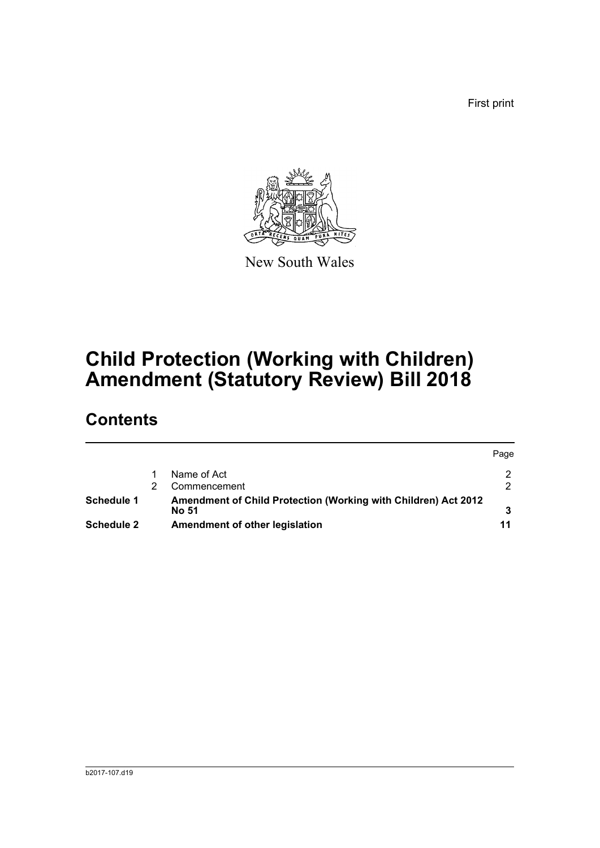First print



New South Wales

# **Child Protection (Working with Children) Amendment (Statutory Review) Bill 2018**

# **Contents**

|                   |  |                                                                | Page |
|-------------------|--|----------------------------------------------------------------|------|
|                   |  | Name of Act                                                    |      |
|                   |  | Commencement                                                   |      |
| Schedule 1        |  | Amendment of Child Protection (Working with Children) Act 2012 |      |
|                   |  | No 51                                                          |      |
| <b>Schedule 2</b> |  | Amendment of other legislation                                 | 11   |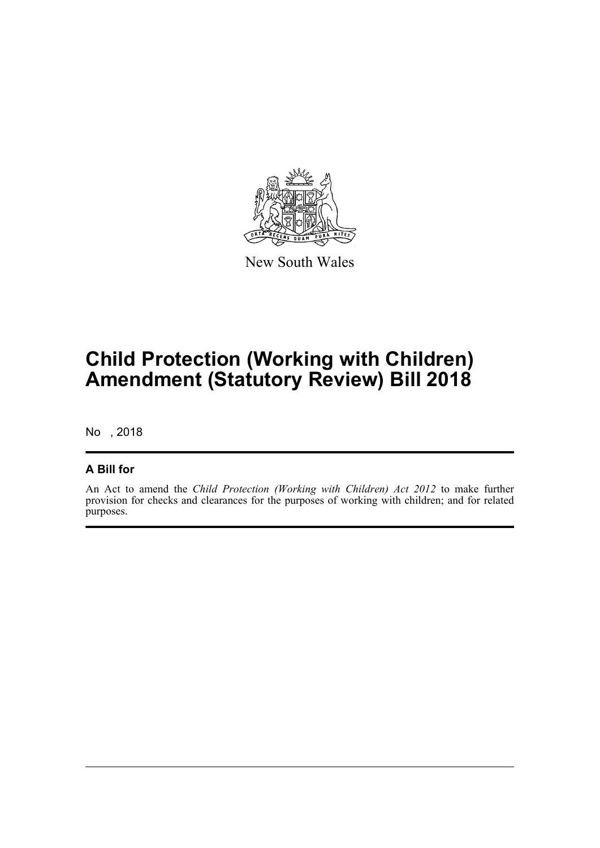

New South Wales

# **Child Protection (Working with Children) Amendment (Statutory Review) Bill 2018**

No , 2018

### **A Bill for**

An Act to amend the *Child Protection (Working with Children) Act 2012* to make further provision for checks and clearances for the purposes of working with children; and for related purposes.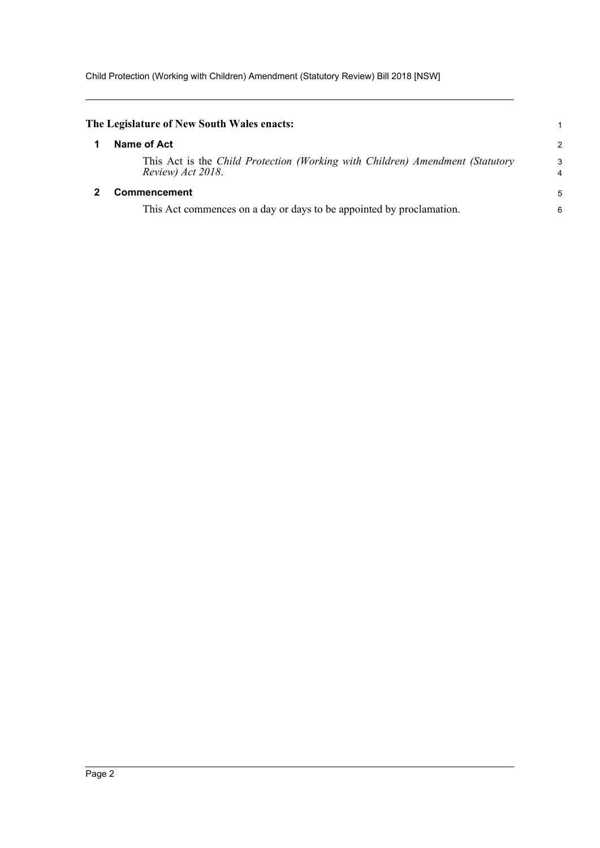Child Protection (Working with Children) Amendment (Statutory Review) Bill 2018 [NSW]

<span id="page-6-1"></span><span id="page-6-0"></span>

| The Legislature of New South Wales enacts:                                                         | 1             |
|----------------------------------------------------------------------------------------------------|---------------|
| Name of Act                                                                                        | $\mathcal{P}$ |
| This Act is the Child Protection (Working with Children) Amendment (Statutory<br>Review) Act 2018. | 3<br>4        |
| <b>Commencement</b>                                                                                | 5             |
| This Act commences on a day or days to be appointed by proclamation.                               | 6             |
|                                                                                                    |               |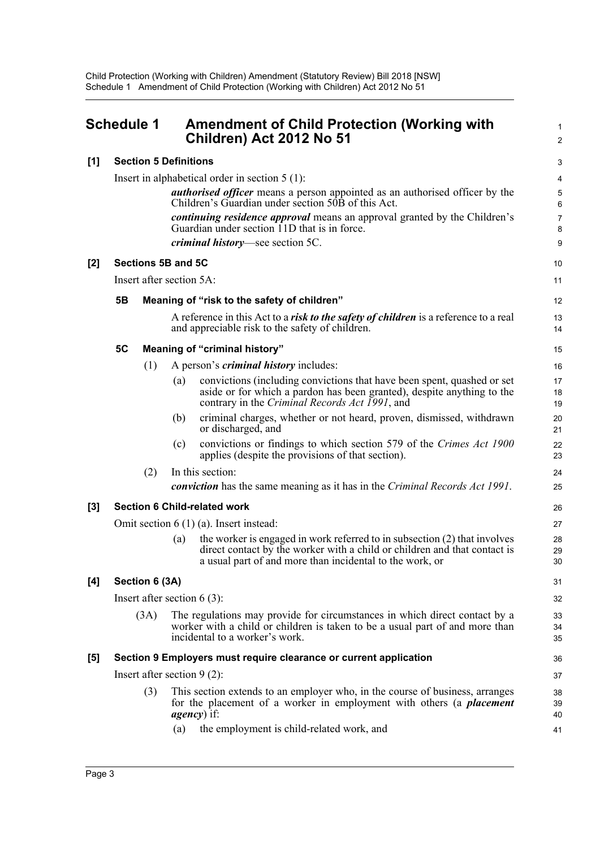<span id="page-7-0"></span>

| <b>Schedule 1</b> |                |                               | <b>Amendment of Child Protection (Working with</b><br>Children) Act 2012 No 51                                                                                                                                              | 2                          |  |  |
|-------------------|----------------|-------------------------------|-----------------------------------------------------------------------------------------------------------------------------------------------------------------------------------------------------------------------------|----------------------------|--|--|
| [1]               |                |                               | <b>Section 5 Definitions</b>                                                                                                                                                                                                | G                          |  |  |
|                   |                |                               | Insert in alphabetical order in section $5(1)$ :                                                                                                                                                                            | 4                          |  |  |
|                   |                |                               | <i>authorised officer</i> means a person appointed as an authorised officer by the<br>Children's Guardian under section 50B of this Act.                                                                                    | $\epsilon$                 |  |  |
|                   |                |                               | <i>continuing residence approval</i> means an approval granted by the Children's<br>Guardian under section 11D that is in force.                                                                                            | 7<br>ε                     |  |  |
|                   |                |                               | <i>criminal history</i> —see section 5C.                                                                                                                                                                                    | ς                          |  |  |
| $[2]$             |                |                               | Sections 5B and 5C                                                                                                                                                                                                          | 10                         |  |  |
|                   |                |                               | Insert after section 5A:                                                                                                                                                                                                    | 11                         |  |  |
|                   | 5B             |                               | Meaning of "risk to the safety of children"                                                                                                                                                                                 | 12                         |  |  |
|                   |                |                               | A reference in this Act to a risk to the safety of children is a reference to a real<br>and appreciable risk to the safety of children.                                                                                     | 13<br>14                   |  |  |
|                   | 5C             |                               | <b>Meaning of "criminal history"</b>                                                                                                                                                                                        | 15                         |  |  |
|                   |                | (1)                           | A person's <i>criminal history</i> includes:                                                                                                                                                                                | 16                         |  |  |
|                   |                |                               | convictions (including convictions that have been spent, quashed or set<br>(a)<br>aside or for which a pardon has been granted), despite anything to the<br>contrary in the Criminal Records Act 1991, and                  | 17<br>18<br>1 <sup>c</sup> |  |  |
|                   |                |                               | criminal charges, whether or not heard, proven, dismissed, withdrawn<br>(b)<br>or discharged, and                                                                                                                           | 20<br>21                   |  |  |
|                   |                |                               | convictions or findings to which section 579 of the Crimes Act 1900<br>(c)<br>applies (despite the provisions of that section).                                                                                             | 22<br>23                   |  |  |
|                   |                | (2)                           | In this section:                                                                                                                                                                                                            | 24                         |  |  |
|                   |                |                               | <b>conviction</b> has the same meaning as it has in the Criminal Records Act 1991.                                                                                                                                          | 25                         |  |  |
| $[3]$             |                |                               | <b>Section 6 Child-related work</b>                                                                                                                                                                                         | 26                         |  |  |
|                   |                |                               | Omit section $6(1)(a)$ . Insert instead:                                                                                                                                                                                    | 27                         |  |  |
|                   |                |                               | the worker is engaged in work referred to in subsection $(2)$ that involves<br>(a)<br>direct contact by the worker with a child or children and that contact is<br>a usual part of and more than incidental to the work, or | 28<br>29<br>30             |  |  |
| [4]               | Section 6 (3A) |                               |                                                                                                                                                                                                                             |                            |  |  |
|                   |                | Insert after section $6(3)$ : |                                                                                                                                                                                                                             |                            |  |  |
|                   | (3A)           |                               | The regulations may provide for circumstances in which direct contact by a<br>worker with a child or children is taken to be a usual part of and more than<br>incidental to a worker's work.                                | 33<br>34<br>35             |  |  |
| [5]               |                |                               | Section 9 Employers must require clearance or current application                                                                                                                                                           | 36                         |  |  |
|                   |                |                               | Insert after section $9(2)$ :                                                                                                                                                                                               | 37                         |  |  |
|                   |                | (3)                           | This section extends to an employer who, in the course of business, arranges<br>for the placement of a worker in employment with others (a <i>placement</i><br><i>agency</i> ) if:                                          | 38<br>39<br>40             |  |  |
|                   |                |                               | the employment is child-related work, and<br>(a)                                                                                                                                                                            | 41                         |  |  |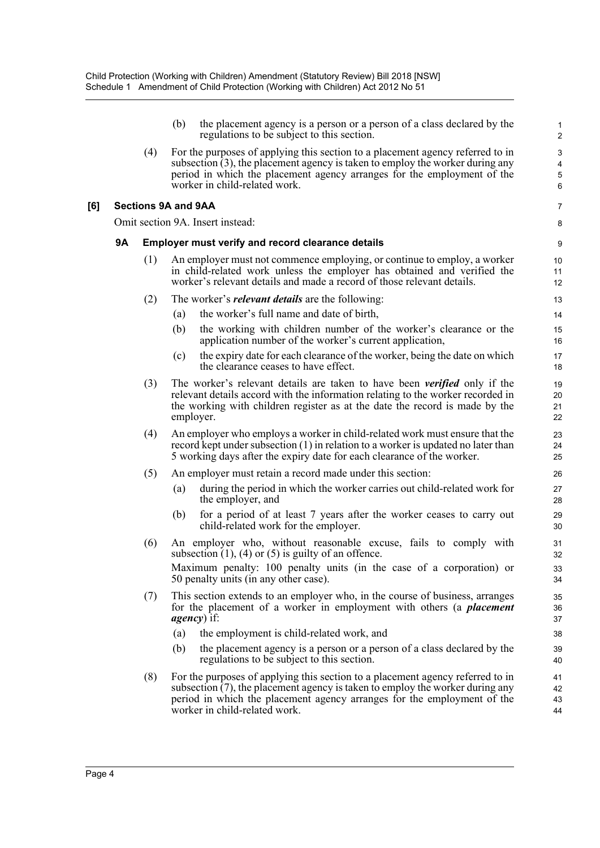|           |                                                          | (b)                                                       | the placement agency is a person or a person of a class declared by the<br>regulations to be subject to this section.                                                                                                                                                          | $\mathbf{1}$<br>$\overline{2}$          |  |  |  |  |  |
|-----------|----------------------------------------------------------|-----------------------------------------------------------|--------------------------------------------------------------------------------------------------------------------------------------------------------------------------------------------------------------------------------------------------------------------------------|-----------------------------------------|--|--|--|--|--|
|           | (4)                                                      |                                                           | For the purposes of applying this section to a placement agency referred to in<br>subsection $(3)$ , the placement agency is taken to employ the worker during any<br>period in which the placement agency arranges for the employment of the<br>worker in child-related work. | $\mathsf 3$<br>$\overline{4}$<br>5<br>6 |  |  |  |  |  |
|           | <b>Sections 9A and 9AA</b>                               |                                                           |                                                                                                                                                                                                                                                                                | 7                                       |  |  |  |  |  |
|           |                                                          |                                                           | Omit section 9A. Insert instead:                                                                                                                                                                                                                                               | 8                                       |  |  |  |  |  |
| <b>9A</b> | <b>Employer must verify and record clearance details</b> |                                                           |                                                                                                                                                                                                                                                                                |                                         |  |  |  |  |  |
|           | (1)                                                      |                                                           | An employer must not commence employing, or continue to employ, a worker<br>in child-related work unless the employer has obtained and verified the<br>worker's relevant details and made a record of those relevant details.                                                  | 10<br>11<br>12                          |  |  |  |  |  |
|           | (2)                                                      |                                                           | The worker's <i>relevant details</i> are the following:                                                                                                                                                                                                                        | 13                                      |  |  |  |  |  |
|           |                                                          | (a)                                                       | the worker's full name and date of birth,                                                                                                                                                                                                                                      | 14                                      |  |  |  |  |  |
|           |                                                          | (b)                                                       | the working with children number of the worker's clearance or the<br>application number of the worker's current application,                                                                                                                                                   | 15<br>16                                |  |  |  |  |  |
|           |                                                          | (c)                                                       | the expiry date for each clearance of the worker, being the date on which<br>the clearance ceases to have effect.                                                                                                                                                              | 17<br>18                                |  |  |  |  |  |
|           | (3)                                                      |                                                           | The worker's relevant details are taken to have been <i>verified</i> only if the<br>relevant details accord with the information relating to the worker recorded in<br>the working with children register as at the date the record is made by the<br>employer.                | 19<br>20<br>21<br>22                    |  |  |  |  |  |
|           | (4)                                                      |                                                           | An employer who employs a worker in child-related work must ensure that the<br>record kept under subsection $(1)$ in relation to a worker is updated no later than<br>5 working days after the expiry date for each clearance of the worker.                                   | 23<br>24<br>25                          |  |  |  |  |  |
|           | (5)                                                      | An employer must retain a record made under this section: |                                                                                                                                                                                                                                                                                |                                         |  |  |  |  |  |
|           |                                                          | (a)                                                       | during the period in which the worker carries out child-related work for<br>the employer, and                                                                                                                                                                                  | 27<br>28                                |  |  |  |  |  |
|           |                                                          | (b)                                                       | for a period of at least 7 years after the worker ceases to carry out<br>child-related work for the employer.                                                                                                                                                                  | 29<br>30                                |  |  |  |  |  |
|           | (6)                                                      |                                                           | An employer who, without reasonable excuse, fails to comply with<br>subsection $(1)$ , $(4)$ or $(5)$ is guilty of an offence.                                                                                                                                                 | 31<br>32                                |  |  |  |  |  |
|           |                                                          |                                                           | Maximum penalty: 100 penalty units (in the case of a corporation) or<br>50 penalty units (in any other case).                                                                                                                                                                  | 33<br>34                                |  |  |  |  |  |
|           | (7)                                                      |                                                           | This section extends to an employer who, in the course of business, arranges<br>for the placement of a worker in employment with others (a <i>placement</i><br><i>agency</i> ) if:                                                                                             | 35<br>36<br>37                          |  |  |  |  |  |
|           |                                                          | (a)                                                       | the employment is child-related work, and                                                                                                                                                                                                                                      | 38                                      |  |  |  |  |  |
|           |                                                          | (b)                                                       | the placement agency is a person or a person of a class declared by the<br>regulations to be subject to this section.                                                                                                                                                          | 39<br>40                                |  |  |  |  |  |
|           | (8)                                                      |                                                           | For the purposes of applying this section to a placement agency referred to in<br>subsection (7), the placement agency is taken to employ the worker during any<br>period in which the placement agency arranges for the employment of the<br>worker in child-related work.    | 41<br>42<br>43<br>44                    |  |  |  |  |  |

**[6]**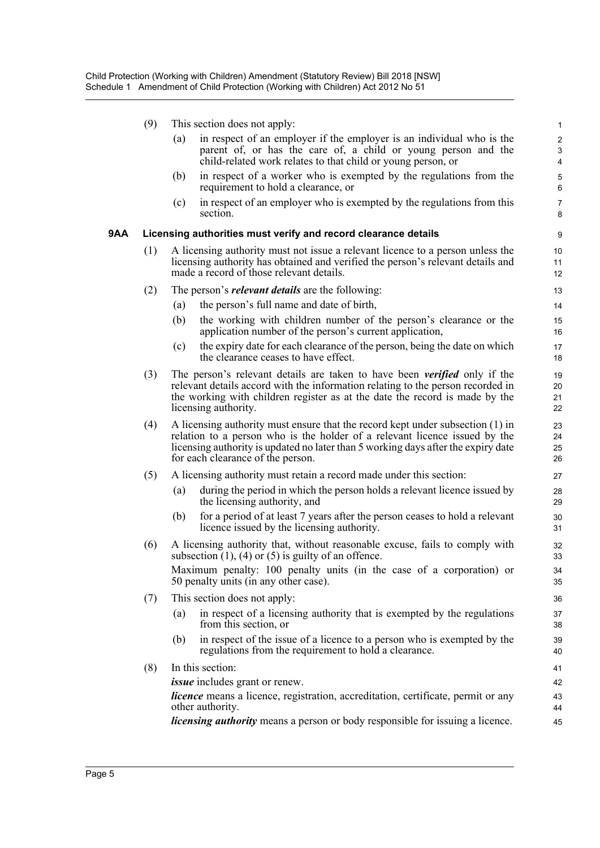(9) This section does not apply:

| (a) | in respect of an employer if the employer is an individual who is the |
|-----|-----------------------------------------------------------------------|
|     | parent of, or has the care of, a child or young person and the        |
|     | child-related work relates to that child or young person, or          |

- (b) in respect of a worker who is exempted by the regulations from the requirement to hold a clearance, or
- (c) in respect of an employer who is exempted by the regulations from this section.

#### **9AA Licensing authorities must verify and record clearance details**

- (1) A licensing authority must not issue a relevant licence to a person unless the licensing authority has obtained and verified the person's relevant details and made a record of those relevant details.
- (2) The person's *relevant details* are the following:
	- (a) the person's full name and date of birth,
	- (b) the working with children number of the person's clearance or the application number of the person's current application,
	- (c) the expiry date for each clearance of the person, being the date on which the clearance ceases to have effect.
- (3) The person's relevant details are taken to have been *verified* only if the relevant details accord with the information relating to the person recorded in the working with children register as at the date the record is made by the licensing authority.
- (4) A licensing authority must ensure that the record kept under subsection (1) in relation to a person who is the holder of a relevant licence issued by the licensing authority is updated no later than 5 working days after the expiry date for each clearance of the person.
- (5) A licensing authority must retain a record made under this section:
	- (a) during the period in which the person holds a relevant licence issued by the licensing authority, and
	- (b) for a period of at least 7 years after the person ceases to hold a relevant licence issued by the licensing authority.
- (6) A licensing authority that, without reasonable excuse, fails to comply with subsection  $(1)$ ,  $(4)$  or  $(5)$  is guilty of an offence. Maximum penalty: 100 penalty units (in the case of a corporation) or 50 penalty units (in any other case).
- (7) This section does not apply:
	- (a) in respect of a licensing authority that is exempted by the regulations from this section, or
	- (b) in respect of the issue of a licence to a person who is exempted by the regulations from the requirement to hold a clearance.
- (8) In this section:

*issue* includes grant or renew.

*licence* means a licence, registration, accreditation, certificate, permit or any other authority.

*licensing authority* means a person or body responsible for issuing a licence.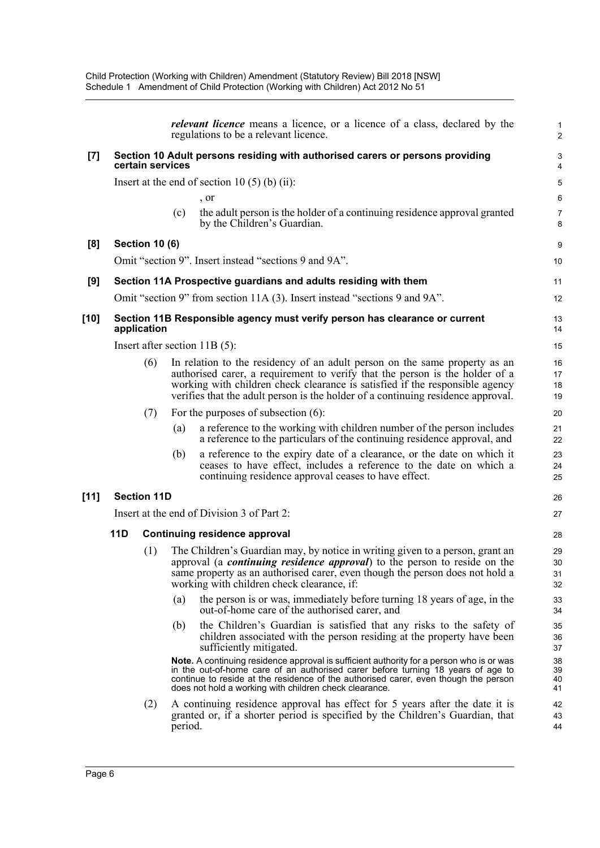|        |            |                       |         | <i>relevant licence</i> means a licence, or a licence of a class, declared by the<br>regulations to be a relevant licence.                                                                                                                                                                                                           | $\mathbf{1}$<br>$\overline{2}$ |
|--------|------------|-----------------------|---------|--------------------------------------------------------------------------------------------------------------------------------------------------------------------------------------------------------------------------------------------------------------------------------------------------------------------------------------|--------------------------------|
| [7]    |            | certain services      |         | Section 10 Adult persons residing with authorised carers or persons providing                                                                                                                                                                                                                                                        | 3<br>4                         |
|        |            |                       |         | Insert at the end of section 10 $(5)$ (b) (ii):                                                                                                                                                                                                                                                                                      | $\sqrt{5}$                     |
|        |            |                       |         | , or                                                                                                                                                                                                                                                                                                                                 | 6                              |
|        |            |                       | (c)     | the adult person is the holder of a continuing residence approval granted<br>by the Children's Guardian.                                                                                                                                                                                                                             | $\overline{7}$<br>8            |
| [8]    |            | <b>Section 10 (6)</b> |         |                                                                                                                                                                                                                                                                                                                                      | 9                              |
|        |            |                       |         | Omit "section 9". Insert instead "sections 9 and 9A".                                                                                                                                                                                                                                                                                | 10                             |
| [9]    |            |                       |         | Section 11A Prospective guardians and adults residing with them                                                                                                                                                                                                                                                                      | 11                             |
|        |            |                       |         | Omit "section 9" from section 11A (3). Insert instead "sections 9 and 9A".                                                                                                                                                                                                                                                           | 12                             |
| [10]   |            | application           |         | Section 11B Responsible agency must verify person has clearance or current                                                                                                                                                                                                                                                           | 13<br>14                       |
|        |            |                       |         | Insert after section $11B(5)$ :                                                                                                                                                                                                                                                                                                      | 15                             |
|        |            | (6)                   |         | In relation to the residency of an adult person on the same property as an<br>authorised carer, a requirement to verify that the person is the holder of a<br>working with children check clearance is satisfied if the responsible agency<br>verifies that the adult person is the holder of a continuing residence approval.       | 16<br>17<br>18<br>19           |
|        |            | (7)                   |         | For the purposes of subsection $(6)$ :                                                                                                                                                                                                                                                                                               | 20                             |
|        |            |                       | (a)     | a reference to the working with children number of the person includes<br>a reference to the particulars of the continuing residence approval, and                                                                                                                                                                                   | 21<br>22                       |
|        |            |                       | (b)     | a reference to the expiry date of a clearance, or the date on which it<br>ceases to have effect, includes a reference to the date on which a<br>continuing residence approval ceases to have effect.                                                                                                                                 | 23<br>24<br>25                 |
| $[11]$ |            | <b>Section 11D</b>    |         |                                                                                                                                                                                                                                                                                                                                      | 26                             |
|        |            |                       |         | Insert at the end of Division 3 of Part 2:                                                                                                                                                                                                                                                                                           | 27                             |
|        | <b>11D</b> |                       |         | <b>Continuing residence approval</b>                                                                                                                                                                                                                                                                                                 | 28                             |
|        |            | (1)                   |         | The Children's Guardian may, by notice in writing given to a person, grant an<br>approval (a <i>continuing residence approval</i> ) to the person to reside on the<br>same property as an authorised carer, even though the person does not hold a<br>working with children check clearance, if:                                     | 29<br>30<br>31<br>32           |
|        |            |                       | (a)     | the person is or was, immediately before turning 18 years of age, in the<br>out-of-home care of the authorised carer, and                                                                                                                                                                                                            | 33<br>34                       |
|        |            |                       | (b)     | the Children's Guardian is satisfied that any risks to the safety of<br>children associated with the person residing at the property have been<br>sufficiently mitigated.                                                                                                                                                            | 35<br>36<br>37                 |
|        |            |                       |         | <b>Note.</b> A continuing residence approval is sufficient authority for a person who is or was<br>in the out-of-home care of an authorised carer before turning 18 years of age to<br>continue to reside at the residence of the authorised carer, even though the person<br>does not hold a working with children check clearance. | 38<br>39<br>40<br>41           |
|        |            | (2)                   | period. | A continuing residence approval has effect for 5 years after the date it is<br>granted or, if a shorter period is specified by the Children's Guardian, that                                                                                                                                                                         | 42<br>43<br>44                 |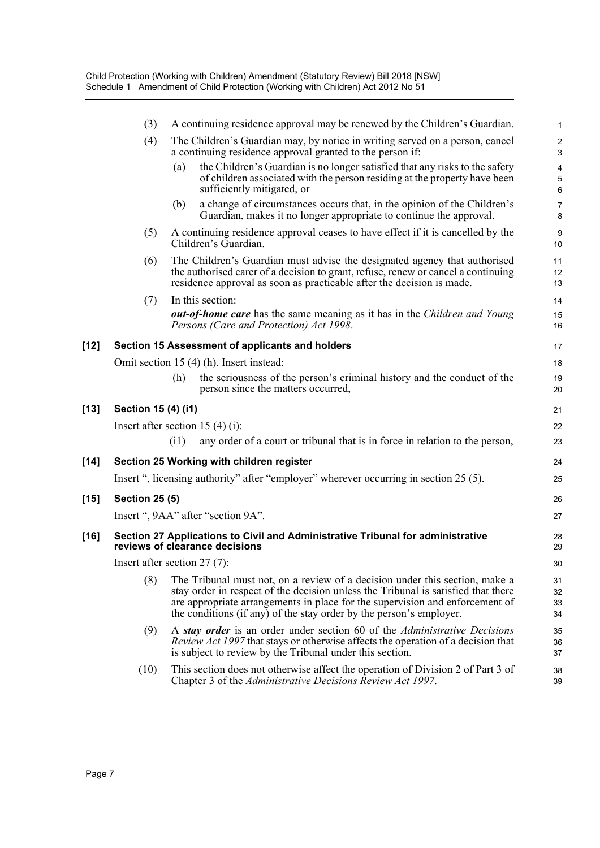|        | (3)                              |      | A continuing residence approval may be renewed by the Children's Guardian.                                                                                                                                                                                                                                              | $\mathbf{1}$                 |
|--------|----------------------------------|------|-------------------------------------------------------------------------------------------------------------------------------------------------------------------------------------------------------------------------------------------------------------------------------------------------------------------------|------------------------------|
|        | (4)                              |      | The Children's Guardian may, by notice in writing served on a person, cancel<br>a continuing residence approval granted to the person if:                                                                                                                                                                               | $\overline{\mathbf{c}}$<br>3 |
|        |                                  | (a)  | the Children's Guardian is no longer satisfied that any risks to the safety<br>of children associated with the person residing at the property have been<br>sufficiently mitigated, or                                                                                                                                  | 4<br>5<br>$\,6$              |
|        |                                  | (b)  | a change of circumstances occurs that, in the opinion of the Children's<br>Guardian, makes it no longer appropriate to continue the approval.                                                                                                                                                                           | $\overline{7}$<br>8          |
|        | (5)                              |      | A continuing residence approval ceases to have effect if it is cancelled by the<br>Children's Guardian.                                                                                                                                                                                                                 | 9<br>10                      |
|        | (6)                              |      | The Children's Guardian must advise the designated agency that authorised<br>the authorised carer of a decision to grant, refuse, renew or cancel a continuing<br>residence approval as soon as practicable after the decision is made.                                                                                 | 11<br>12<br>13               |
|        | (7)                              |      | In this section:<br><b><i>out-of-home care</i></b> has the same meaning as it has in the <i>Children and Young</i><br>Persons (Care and Protection) Act 1998.                                                                                                                                                           | 14<br>15<br>16               |
| $[12]$ |                                  |      | Section 15 Assessment of applicants and holders                                                                                                                                                                                                                                                                         | 17                           |
|        |                                  |      | Omit section 15 (4) (h). Insert instead:                                                                                                                                                                                                                                                                                | 18                           |
|        |                                  | (h)  | the seriousness of the person's criminal history and the conduct of the<br>person since the matters occurred,                                                                                                                                                                                                           | 19<br>20                     |
| $[13]$ | Section 15 (4) (i1)              |      |                                                                                                                                                                                                                                                                                                                         | 21                           |
|        | Insert after section 15 (4) (i): |      |                                                                                                                                                                                                                                                                                                                         | 22                           |
|        |                                  | (i1) | any order of a court or tribunal that is in force in relation to the person,                                                                                                                                                                                                                                            | 23                           |
| $[14]$ |                                  |      | Section 25 Working with children register                                                                                                                                                                                                                                                                               | 24                           |
|        |                                  |      | Insert ", licensing authority" after "employer" wherever occurring in section 25 (5).                                                                                                                                                                                                                                   | 25                           |
| $[15]$ | <b>Section 25 (5)</b>            |      |                                                                                                                                                                                                                                                                                                                         | 26                           |
|        |                                  |      | Insert ", 9AA" after "section 9A".                                                                                                                                                                                                                                                                                      | 27                           |
| $[16]$ |                                  |      | Section 27 Applications to Civil and Administrative Tribunal for administrative<br>reviews of clearance decisions                                                                                                                                                                                                       | 28<br>29                     |
|        | Insert after section $27(7)$ :   |      |                                                                                                                                                                                                                                                                                                                         | 30                           |
|        | (8)                              |      | The Tribunal must not, on a review of a decision under this section, make a<br>stay order in respect of the decision unless the Tribunal is satisfied that there<br>are appropriate arrangements in place for the supervision and enforcement of<br>the conditions (if any) of the stay order by the person's employer. | 31<br>32<br>33<br>34         |
|        | (9)                              |      | A stay order is an order under section 60 of the Administrative Decisions<br><i>Review Act 1997</i> that stays or otherwise affects the operation of a decision that<br>is subject to review by the Tribunal under this section.                                                                                        | 35<br>36<br>37               |
|        | (10)                             |      | This section does not otherwise affect the operation of Division 2 of Part 3 of<br>Chapter 3 of the Administrative Decisions Review Act 1997.                                                                                                                                                                           | 38<br>39                     |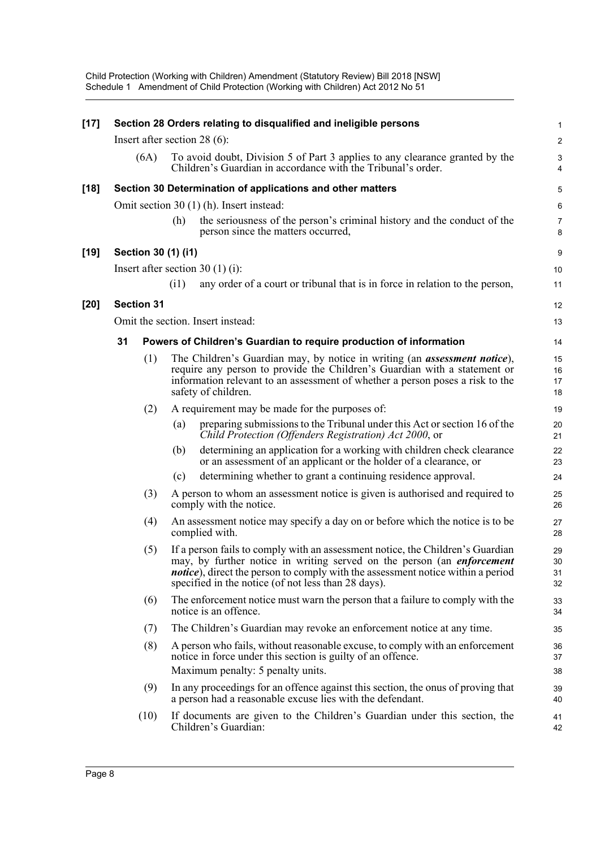Child Protection (Working with Children) Amendment (Statutory Review) Bill 2018 [NSW] Schedule 1 Amendment of Child Protection (Working with Children) Act 2012 No 51

| $[17]$ |    |                   |                     | Section 28 Orders relating to disqualified and ineligible persons                                                                                                                                                                                                                                          | $\mathbf{1}$                                |
|--------|----|-------------------|---------------------|------------------------------------------------------------------------------------------------------------------------------------------------------------------------------------------------------------------------------------------------------------------------------------------------------------|---------------------------------------------|
|        |    |                   |                     | Insert after section 28 $(6)$ :                                                                                                                                                                                                                                                                            | $\overline{2}$                              |
|        |    | (6A)              |                     | To avoid doubt, Division 5 of Part 3 applies to any clearance granted by the<br>Children's Guardian in accordance with the Tribunal's order.                                                                                                                                                               | $\ensuremath{\mathsf{3}}$<br>$\overline{4}$ |
| $[18]$ |    |                   |                     | Section 30 Determination of applications and other matters                                                                                                                                                                                                                                                 | 5                                           |
|        |    |                   |                     | Omit section 30 (1) (h). Insert instead:                                                                                                                                                                                                                                                                   | 6                                           |
|        |    |                   | (h)                 | the seriousness of the person's criminal history and the conduct of the<br>person since the matters occurred,                                                                                                                                                                                              | $\overline{7}$<br>8                         |
| $[19]$ |    |                   | Section 30 (1) (i1) |                                                                                                                                                                                                                                                                                                            | 9                                           |
|        |    |                   |                     | Insert after section 30 $(1)$ (i):                                                                                                                                                                                                                                                                         | 10                                          |
|        |    |                   | (i1)                | any order of a court or tribunal that is in force in relation to the person,                                                                                                                                                                                                                               | 11                                          |
| $[20]$ |    | <b>Section 31</b> |                     |                                                                                                                                                                                                                                                                                                            | 12                                          |
|        |    |                   |                     | Omit the section. Insert instead:                                                                                                                                                                                                                                                                          | 13                                          |
|        | 31 |                   |                     | Powers of Children's Guardian to require production of information                                                                                                                                                                                                                                         | 14                                          |
|        |    | (1)               |                     | The Children's Guardian may, by notice in writing (an <i>assessment notice</i> ),<br>require any person to provide the Children's Guardian with a statement or<br>information relevant to an assessment of whether a person poses a risk to the<br>safety of children.                                     | 15<br>16<br>17<br>18                        |
|        |    | (2)               |                     | A requirement may be made for the purposes of:                                                                                                                                                                                                                                                             | 19                                          |
|        |    |                   | (a)                 | preparing submissions to the Tribunal under this Act or section 16 of the<br>Child Protection (Offenders Registration) Act 2000, or                                                                                                                                                                        | 20<br>21                                    |
|        |    |                   | (b)                 | determining an application for a working with children check clearance<br>or an assessment of an applicant or the holder of a clearance, or                                                                                                                                                                | 22<br>23                                    |
|        |    |                   | (c)                 | determining whether to grant a continuing residence approval.                                                                                                                                                                                                                                              | 24                                          |
|        |    | (3)               |                     | A person to whom an assessment notice is given is authorised and required to<br>comply with the notice.                                                                                                                                                                                                    | 25<br>26                                    |
|        |    | (4)               |                     | An assessment notice may specify a day on or before which the notice is to be<br>complied with.                                                                                                                                                                                                            | 27<br>28                                    |
|        |    | (5)               |                     | If a person fails to comply with an assessment notice, the Children's Guardian<br>may, by further notice in writing served on the person (an enforcement<br><i>notice</i> ), direct the person to comply with the assessment notice within a period<br>specified in the notice (of not less than 28 days). | 29<br>30<br>31<br>32                        |
|        |    | (6)               |                     | The enforcement notice must warn the person that a failure to comply with the<br>notice is an offence.                                                                                                                                                                                                     | 33<br>34                                    |
|        |    | (7)               |                     | The Children's Guardian may revoke an enforcement notice at any time.                                                                                                                                                                                                                                      | 35                                          |
|        |    | (8)               |                     | A person who fails, without reasonable excuse, to comply with an enforcement<br>notice in force under this section is guilty of an offence.<br>Maximum penalty: 5 penalty units.                                                                                                                           | 36<br>37<br>38                              |
|        |    | (9)               |                     | In any proceedings for an offence against this section, the onus of proving that<br>a person had a reasonable excuse lies with the defendant.                                                                                                                                                              | 39<br>40                                    |
|        |    | (10)              |                     | If documents are given to the Children's Guardian under this section, the<br>Children's Guardian:                                                                                                                                                                                                          | 41<br>42                                    |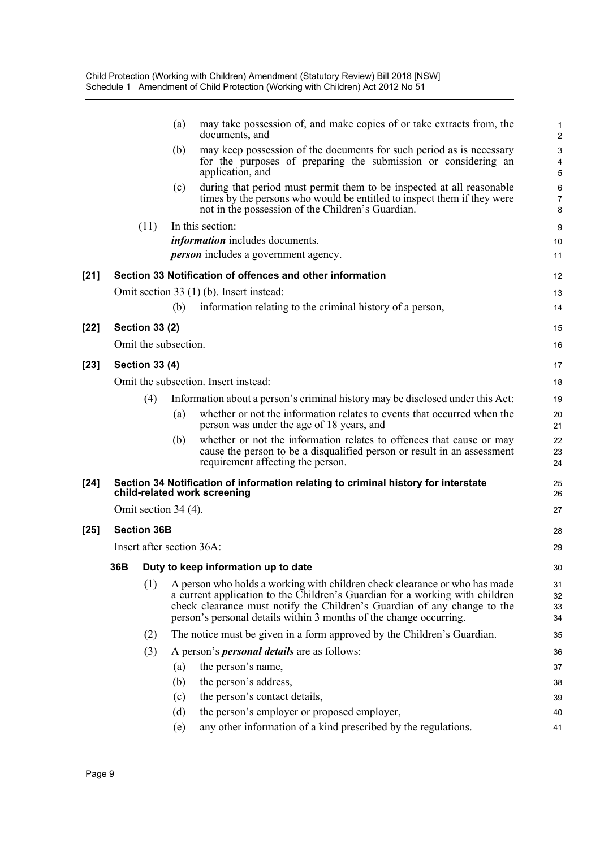|        |                           | (a) | may take possession of, and make copies of or take extracts from, the<br>documents, and                                                                                                                                                                                                                      | 2                    |  |
|--------|---------------------------|-----|--------------------------------------------------------------------------------------------------------------------------------------------------------------------------------------------------------------------------------------------------------------------------------------------------------------|----------------------|--|
|        |                           | (b) | may keep possession of the documents for such period as is necessary<br>for the purposes of preparing the submission or considering an<br>application, and                                                                                                                                                   | 5                    |  |
|        |                           | (c) | during that period must permit them to be inspected at all reasonable<br>times by the persons who would be entitled to inspect them if they were<br>not in the possession of the Children's Guardian.                                                                                                        | $\epsilon$<br>7<br>ε |  |
|        | (11)                      |     | In this section:                                                                                                                                                                                                                                                                                             | ς                    |  |
|        |                           |     | <i>information</i> includes documents.<br><i>person</i> includes a government agency.                                                                                                                                                                                                                        | 10                   |  |
|        |                           |     |                                                                                                                                                                                                                                                                                                              | 11                   |  |
| $[21]$ |                           |     | Section 33 Notification of offences and other information                                                                                                                                                                                                                                                    | 12                   |  |
|        |                           |     | Omit section 33 (1) (b). Insert instead:                                                                                                                                                                                                                                                                     | 13                   |  |
|        |                           | (b) | information relating to the criminal history of a person,                                                                                                                                                                                                                                                    | 14                   |  |
| [22]   | <b>Section 33 (2)</b>     |     |                                                                                                                                                                                                                                                                                                              | 15                   |  |
|        | Omit the subsection.      |     |                                                                                                                                                                                                                                                                                                              | 16                   |  |
| [23]   | <b>Section 33 (4)</b>     |     |                                                                                                                                                                                                                                                                                                              | 17                   |  |
|        |                           |     | Omit the subsection. Insert instead:                                                                                                                                                                                                                                                                         | 18                   |  |
|        | (4)                       |     | Information about a person's criminal history may be disclosed under this Act:                                                                                                                                                                                                                               | 19                   |  |
|        |                           | (a) | whether or not the information relates to events that occurred when the<br>person was under the age of 18 years, and                                                                                                                                                                                         | 20<br>21             |  |
|        |                           | (b) | whether or not the information relates to offences that cause or may<br>cause the person to be a disqualified person or result in an assessment<br>requirement affecting the person.                                                                                                                         | 22<br>23<br>24       |  |
| $[24]$ |                           |     | Section 34 Notification of information relating to criminal history for interstate<br>child-related work screening                                                                                                                                                                                           | 25<br>26             |  |
|        | Omit section 34 (4).      |     |                                                                                                                                                                                                                                                                                                              | 27                   |  |
| $[25]$ | <b>Section 36B</b>        |     |                                                                                                                                                                                                                                                                                                              | 28                   |  |
|        | Insert after section 36A: |     |                                                                                                                                                                                                                                                                                                              |                      |  |
|        |                           |     | 36B Duty to keep information up to date                                                                                                                                                                                                                                                                      | 29                   |  |
|        |                           |     |                                                                                                                                                                                                                                                                                                              | 3 <sup>C</sup>       |  |
|        | (1)                       |     | A person who holds a working with children check clearance or who has made<br>a current application to the Children's Guardian for a working with children<br>check clearance must notify the Children's Guardian of any change to the<br>person's personal details within 3 months of the change occurring. | 31<br>32<br>33<br>34 |  |
|        | (2)                       |     | The notice must be given in a form approved by the Children's Guardian.                                                                                                                                                                                                                                      | 35                   |  |
|        | (3)                       |     | A person's <i>personal details</i> are as follows:                                                                                                                                                                                                                                                           | 36                   |  |
|        |                           | (a) | the person's name,                                                                                                                                                                                                                                                                                           | 37                   |  |
|        |                           | (b) | the person's address,                                                                                                                                                                                                                                                                                        | 38                   |  |
|        |                           | (c) | the person's contact details,                                                                                                                                                                                                                                                                                | 39                   |  |
|        |                           | (d) | the person's employer or proposed employer,                                                                                                                                                                                                                                                                  | 40                   |  |
|        |                           | (e) | any other information of a kind prescribed by the regulations.                                                                                                                                                                                                                                               | 41                   |  |
|        |                           |     |                                                                                                                                                                                                                                                                                                              |                      |  |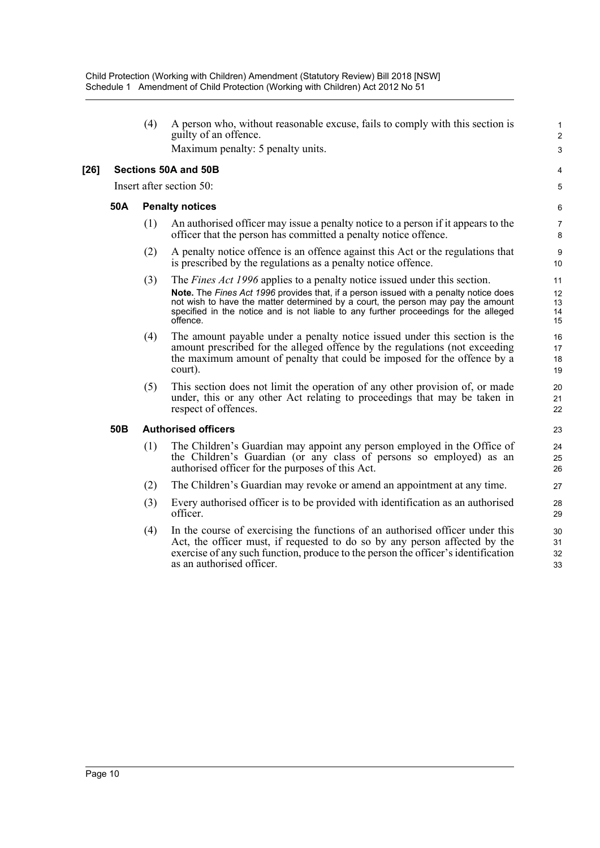(4) A person who, without reasonable excuse, fails to comply with this section is guilty of an offence.

1 2 3

4 5

Maximum penalty: 5 penalty units.

#### **[26] Sections 50A and 50B**

Insert after section 50:

#### **50A Penalty notices**

- (1) An authorised officer may issue a penalty notice to a person if it appears to the officer that the person has committed a penalty notice offence.
- (2) A penalty notice offence is an offence against this Act or the regulations that is prescribed by the regulations as a penalty notice offence.
- (3) The *Fines Act 1996* applies to a penalty notice issued under this section.
	- **Note.** The *Fines Act 1996* provides that, if a person issued with a penalty notice does not wish to have the matter determined by a court, the person may pay the amount specified in the notice and is not liable to any further proceedings for the alleged offence.
- (4) The amount payable under a penalty notice issued under this section is the amount prescribed for the alleged offence by the regulations (not exceeding the maximum amount of penalty that could be imposed for the offence by a court).
- (5) This section does not limit the operation of any other provision of, or made under, this or any other Act relating to proceedings that may be taken in respect of offences.

#### **50B Authorised officers**

- (1) The Children's Guardian may appoint any person employed in the Office of the Children's Guardian (or any class of persons so employed) as an authorised officer for the purposes of this Act.
- (2) The Children's Guardian may revoke or amend an appointment at any time.
- (3) Every authorised officer is to be provided with identification as an authorised officer.
- (4) In the course of exercising the functions of an authorised officer under this Act, the officer must, if requested to do so by any person affected by the exercise of any such function, produce to the person the officer's identification as an authorised officer.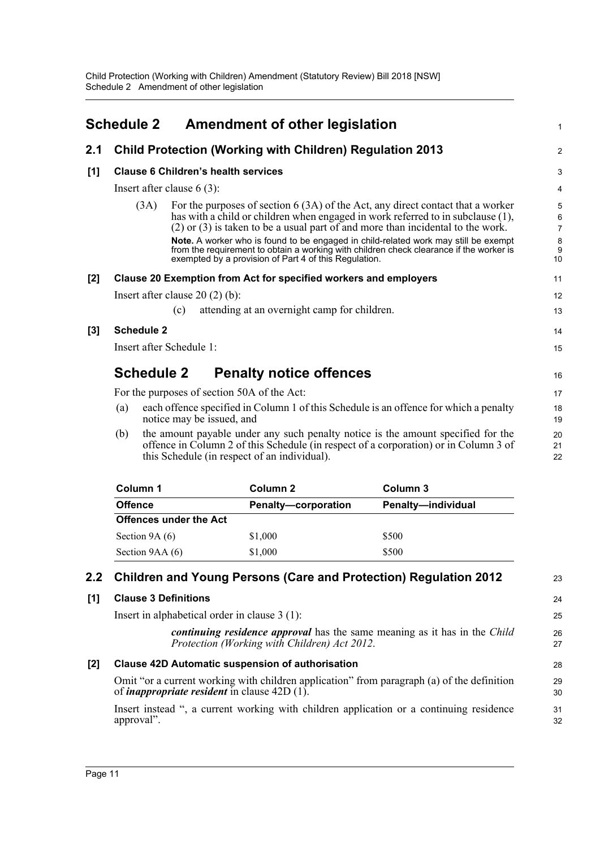<span id="page-15-0"></span>

|                  | <b>Schedule 2</b>                                                                                                                                                                                                               |                              |     | <b>Amendment of other legislation</b>                            |                                |                                                                                                                                                                                                                                                                                                                                                                                                                                              | 1                           |  |  |
|------------------|---------------------------------------------------------------------------------------------------------------------------------------------------------------------------------------------------------------------------------|------------------------------|-----|------------------------------------------------------------------|--------------------------------|----------------------------------------------------------------------------------------------------------------------------------------------------------------------------------------------------------------------------------------------------------------------------------------------------------------------------------------------------------------------------------------------------------------------------------------------|-----------------------------|--|--|
| 2.1              |                                                                                                                                                                                                                                 |                              |     | <b>Child Protection (Working with Children) Regulation 2013</b>  |                                |                                                                                                                                                                                                                                                                                                                                                                                                                                              | $\overline{2}$              |  |  |
| [1]              |                                                                                                                                                                                                                                 |                              |     | <b>Clause 6 Children's health services</b>                       |                                |                                                                                                                                                                                                                                                                                                                                                                                                                                              | 3                           |  |  |
|                  |                                                                                                                                                                                                                                 | Insert after clause $6(3)$ : |     |                                                                  |                                |                                                                                                                                                                                                                                                                                                                                                                                                                                              |                             |  |  |
|                  |                                                                                                                                                                                                                                 | (3A)                         |     | exempted by a provision of Part 4 of this Regulation.            |                                | For the purposes of section $6(3A)$ of the Act, any direct contact that a worker<br>has with a child or children when engaged in work referred to in subclause (1),<br>$(2)$ or $(3)$ is taken to be a usual part of and more than incidental to the work.<br>Note. A worker who is found to be engaged in child-related work may still be exempt<br>from the requirement to obtain a working with children check clearance if the worker is | 5<br>6<br>7<br>8<br>9<br>10 |  |  |
| $[2]$            |                                                                                                                                                                                                                                 |                              |     | Clause 20 Exemption from Act for specified workers and employers |                                |                                                                                                                                                                                                                                                                                                                                                                                                                                              | 11                          |  |  |
|                  |                                                                                                                                                                                                                                 |                              |     | Insert after clause $20(2)(b)$ :                                 |                                |                                                                                                                                                                                                                                                                                                                                                                                                                                              | 12                          |  |  |
|                  |                                                                                                                                                                                                                                 |                              | (c) | attending at an overnight camp for children.                     |                                |                                                                                                                                                                                                                                                                                                                                                                                                                                              | 13                          |  |  |
| $\left[3\right]$ |                                                                                                                                                                                                                                 | <b>Schedule 2</b>            |     |                                                                  |                                |                                                                                                                                                                                                                                                                                                                                                                                                                                              | 14                          |  |  |
|                  |                                                                                                                                                                                                                                 | Insert after Schedule 1:     |     |                                                                  |                                |                                                                                                                                                                                                                                                                                                                                                                                                                                              | 15                          |  |  |
|                  |                                                                                                                                                                                                                                 | <b>Schedule 2</b>            |     |                                                                  | <b>Penalty notice offences</b> |                                                                                                                                                                                                                                                                                                                                                                                                                                              | 16                          |  |  |
|                  |                                                                                                                                                                                                                                 |                              |     | For the purposes of section 50A of the Act:                      |                                |                                                                                                                                                                                                                                                                                                                                                                                                                                              | 17                          |  |  |
|                  | each offence specified in Column 1 of this Schedule is an offence for which a penalty<br>(a)<br>notice may be issued, and                                                                                                       |                              |     |                                                                  | 18<br>19                       |                                                                                                                                                                                                                                                                                                                                                                                                                                              |                             |  |  |
|                  | the amount payable under any such penalty notice is the amount specified for the<br>(b)<br>offence in Column 2 of this Schedule (in respect of a corporation) or in Column 3 of<br>this Schedule (in respect of an individual). |                              |     |                                                                  |                                |                                                                                                                                                                                                                                                                                                                                                                                                                                              |                             |  |  |
|                  |                                                                                                                                                                                                                                 | Column 1                     |     | Column <sub>2</sub>                                              |                                | Column <sub>3</sub>                                                                                                                                                                                                                                                                                                                                                                                                                          |                             |  |  |

| Column 1                      | Column 2                   | Column 3                  |
|-------------------------------|----------------------------|---------------------------|
| <b>Offence</b>                | <b>Penalty-corporation</b> | <b>Penalty-individual</b> |
| <b>Offences under the Act</b> |                            |                           |
| Section $9A(6)$               | \$1,000                    | \$500                     |
| Section 9AA (6)               | \$1,000                    | \$500                     |

#### **2.2 Children and Young Persons (Care and Protection) Regulation 2012 [1] Clause 3 Definitions** Insert in alphabetical order in clause 3 (1): *continuing residence approval* has the same meaning as it has in the *Child Protection (Working with Children) Act 2012*. **[2] Clause 42D Automatic suspension of authorisation** Omit "or a current working with children application" from paragraph (a) of the definition of *inappropriate resident* in clause 42D (1). Insert instead ", a current working with children application or a continuing residence approval". 23 24 25 26 27 28 29 30 31 32